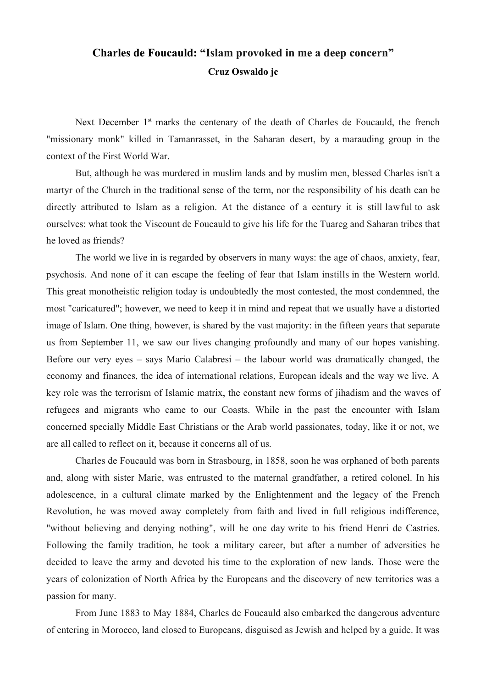## **Charles de Foucauld: "Islam provoked in me a deep concern" Cruz Oswaldo jc**

Next December  $1<sup>st</sup>$  marks the centenary of the death of Charles de Foucauld, the french "missionary monk" killed in Tamanrasset, in the Saharan desert, by a marauding group in the context of the First World War.

But, although he was murdered in muslim lands and by muslim men, blessed Charles isn't a martyr of the Church in the traditional sense of the term, nor the responsibility of his death can be directly attributed to Islam as a religion. At the distance of a century it is still lawful to ask ourselves: what took the Viscount de Foucauld to give his life for the Tuareg and Saharan tribes that he loved as friends?

The world we live in is regarded by observers in many ways: the age of chaos, anxiety, fear, psychosis. And none of it can escape the feeling of fear that Islam instills in the Western world. This great monotheistic religion today is undoubtedly the most contested, the most condemned, the most "caricatured"; however, we need to keep it in mind and repeat that we usually have a distorted image of Islam. One thing, however, is shared by the vast majority: in the fifteen years that separate us from September 11, we saw our lives changing profoundly and many of our hopes vanishing. Before our very eyes – says Mario Calabresi – the labour world was dramatically changed, the economy and finances, the idea of international relations, European ideals and the way we live. A key role was the terrorism of Islamic matrix, the constant new forms of jihadism and the waves of refugees and migrants who came to our Coasts. While in the past the encounter with Islam concerned specially Middle East Christians or the Arab world passionates, today, like it or not, we are all called to reflect on it, because it concerns all of us.

Charles de Foucauld was born in Strasbourg, in 1858, soon he was orphaned of both parents and, along with sister Marie, was entrusted to the maternal grandfather, a retired colonel. In his adolescence, in a cultural climate marked by the Enlightenment and the legacy of the French Revolution, he was moved away completely from faith and lived in full religious indifference, "without believing and denying nothing", will he one day write to his friend Henri de Castries. Following the family tradition, he took a military career, but after a number of adversities he decided to leave the army and devoted his time to the exploration of new lands. Those were the years of colonization of North Africa by the Europeans and the discovery of new territories was a passion for many.

From June 1883 to May 1884, Charles de Foucauld also embarked the dangerous adventure of entering in Morocco, land closed to Europeans, disguised as Jewish and helped by a guide. It was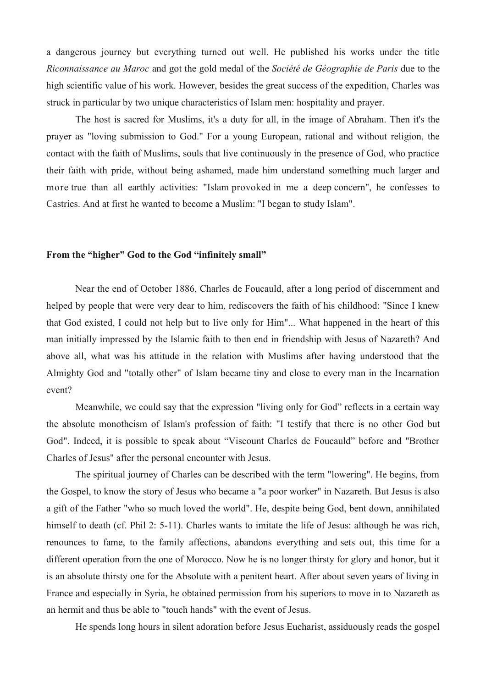a dangerous journey but everything turned out well. He published his works under the title *Riconnaissance au Maroc* and got the gold medal of the *Société de Géographie de Paris* due to the high scientific value of his work. However, besides the great success of the expedition, Charles was struck in particular by two unique characteristics of Islam men: hospitality and prayer.

The host is sacred for Muslims, it's a duty for all, in the image of Abraham. Then it's the prayer as "loving submission to God." For a young European, rational and without religion, the contact with the faith of Muslims, souls that live continuously in the presence of God, who practice their faith with pride, without being ashamed, made him understand something much larger and more true than all earthly activities: "Islam provoked in me a deep concern", he confesses to Castries. And at first he wanted to become a Muslim: "I began to study Islam".

## **From the "higher" God to the God "infinitely small"**

Near the end of October 1886, Charles de Foucauld, after a long period of discernment and helped by people that were very dear to him, rediscovers the faith of his childhood: "Since I knew that God existed, I could not help but to live only for Him"... What happened in the heart of this man initially impressed by the Islamic faith to then end in friendship with Jesus of Nazareth? And above all, what was his attitude in the relation with Muslims after having understood that the Almighty God and "totally other" of Islam became tiny and close to every man in the Incarnation event?

Meanwhile, we could say that the expression "living only for God" reflects in a certain way the absolute monotheism of Islam's profession of faith: "I testify that there is no other God but God". Indeed, it is possible to speak about "Viscount Charles de Foucauld" before and "Brother Charles of Jesus" after the personal encounter with Jesus.

The spiritual journey of Charles can be described with the term "lowering". He begins, from the Gospel, to know the story of Jesus who became a "a poor worker" in Nazareth. But Jesus is also a gift of the Father "who so much loved the world". He, despite being God, bent down, annihilated himself to death (cf. Phil 2: 5-11). Charles wants to imitate the life of Jesus: although he was rich, renounces to fame, to the family affections, abandons everything and sets out, this time for a different operation from the one of Morocco. Now he is no longer thirsty for glory and honor, but it is an absolute thirsty one for the Absolute with a penitent heart. After about seven years of living in France and especially in Syria, he obtained permission from his superiors to move in to Nazareth as an hermit and thus be able to "touch hands" with the event of Jesus.

He spends long hours in silent adoration before Jesus Eucharist, assiduously reads the gospel